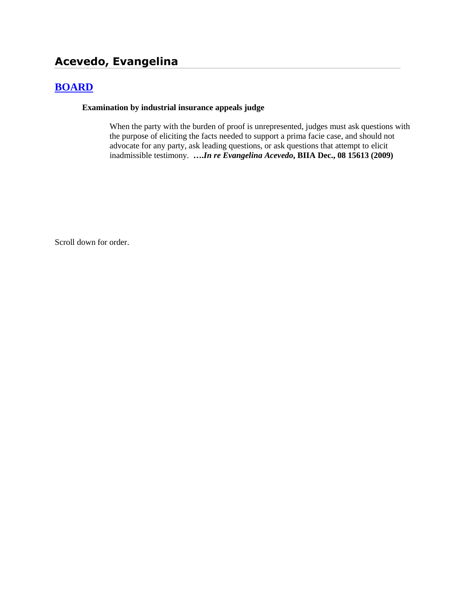# **Acevedo, Evangelina**

## **[BOARD](http://www.biia.wa.gov/SDSubjectIndex.html#BOARD)**

#### **Examination by industrial insurance appeals judge**

When the party with the burden of proof is unrepresented, judges must ask questions with the purpose of eliciting the facts needed to support a prima facie case, and should not advocate for any party, ask leading questions, or ask questions that attempt to elicit inadmissible testimony. **….***In re Evangelina Acevedo***, BIIA Dec., 08 15613 (2009)**

Scroll down for order.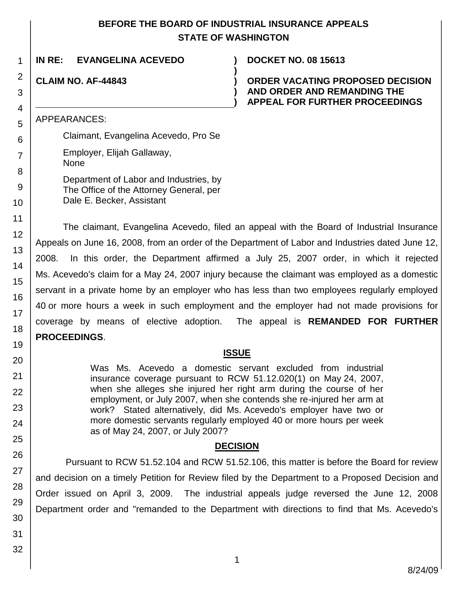## **BEFORE THE BOARD OF INDUSTRIAL INSURANCE APPEALS STATE OF WASHINGTON**

**)**

**) )**

**IN RE: EVANGELINA ACEVEDO ) DOCKET NO. 08 15613**

## **CLAIM NO. AF-44843 )**

1

2

3 4

5 6

7

8

### **ORDER VACATING PROPOSED DECISION AND ORDER AND REMANDING THE APPEAL FOR FURTHER PROCEEDINGS**

APPEARANCES:

Claimant, Evangelina Acevedo, Pro Se

Employer, Elijah Gallaway, None

Department of Labor and Industries, by The Office of the Attorney General, per Dale E. Becker, Assistant

The claimant, Evangelina Acevedo, filed an appeal with the Board of Industrial Insurance Appeals on June 16, 2008, from an order of the Department of Labor and Industries dated June 12, 2008. In this order, the Department affirmed a July 25, 2007 order, in which it rejected Ms. Acevedo's claim for a May 24, 2007 injury because the claimant was employed as a domestic servant in a private home by an employer who has less than two employees regularly employed 40 or more hours a week in such employment and the employer had not made provisions for coverage by means of elective adoption. The appeal is **REMANDED FOR FURTHER PROCEEDINGS**.

### **ISSUE**

Was Ms. Acevedo a domestic servant excluded from industrial insurance coverage pursuant to RCW 51.12.020(1) on May 24, 2007, when she alleges she injured her right arm during the course of her employment, or July 2007, when she contends she re-injured her arm at work? Stated alternatively, did Ms. Acevedo's employer have two or more domestic servants regularly employed 40 or more hours per week as of May 24, 2007, or July 2007?

### **DECISION**

Pursuant to RCW 51.52.104 and RCW 51.52.106, this matter is before the Board for review and decision on a timely Petition for Review filed by the Department to a Proposed Decision and Order issued on April 3, 2009. The industrial appeals judge reversed the June 12, 2008 Department order and "remanded to the Department with directions to find that Ms. Acevedo's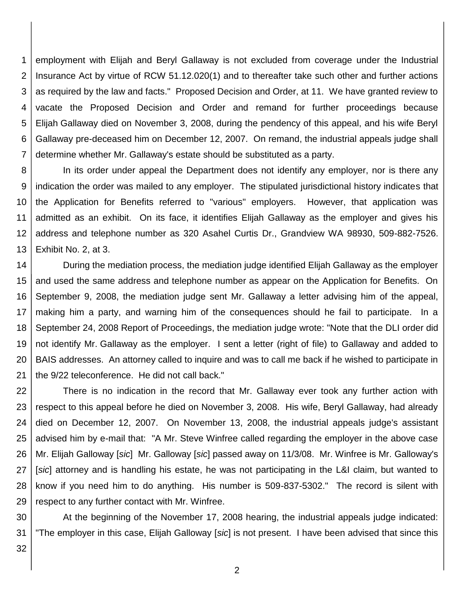1 2 3 4 5 6 7 employment with Elijah and Beryl Gallaway is not excluded from coverage under the Industrial Insurance Act by virtue of RCW 51.12.020(1) and to thereafter take such other and further actions as required by the law and facts." Proposed Decision and Order, at 11. We have granted review to vacate the Proposed Decision and Order and remand for further proceedings because Elijah Gallaway died on November 3, 2008, during the pendency of this appeal, and his wife Beryl Gallaway pre-deceased him on December 12, 2007. On remand, the industrial appeals judge shall determine whether Mr. Gallaway's estate should be substituted as a party.

8 9 10 11 12 13 In its order under appeal the Department does not identify any employer, nor is there any indication the order was mailed to any employer. The stipulated jurisdictional history indicates that the Application for Benefits referred to "various" employers. However, that application was admitted as an exhibit. On its face, it identifies Elijah Gallaway as the employer and gives his address and telephone number as 320 Asahel Curtis Dr., Grandview WA 98930, 509-882-7526. Exhibit No. 2, at 3.

14 15 16 17 18 19 20 21 During the mediation process, the mediation judge identified Elijah Gallaway as the employer and used the same address and telephone number as appear on the Application for Benefits. On September 9, 2008, the mediation judge sent Mr. Gallaway a letter advising him of the appeal, making him a party, and warning him of the consequences should he fail to participate. In a September 24, 2008 Report of Proceedings, the mediation judge wrote: "Note that the DLI order did not identify Mr. Gallaway as the employer. I sent a letter (right of file) to Gallaway and added to BAIS addresses. An attorney called to inquire and was to call me back if he wished to participate in the 9/22 teleconference. He did not call back."

22 23 24 25 26 27 28 29 There is no indication in the record that Mr. Gallaway ever took any further action with respect to this appeal before he died on November 3, 2008. His wife, Beryl Gallaway, had already died on December 12, 2007. On November 13, 2008, the industrial appeals judge's assistant advised him by e-mail that: "A Mr. Steve Winfree called regarding the employer in the above case Mr. Elijah Galloway [*sic*] Mr. Galloway [*sic*] passed away on 11/3/08. Mr. Winfree is Mr. Galloway's [*sic*] attorney and is handling his estate, he was not participating in the L&I claim, but wanted to know if you need him to do anything. His number is 509-837-5302." The record is silent with respect to any further contact with Mr. Winfree.

30 31 At the beginning of the November 17, 2008 hearing, the industrial appeals judge indicated: "The employer in this case, Elijah Galloway [*sic*] is not present. I have been advised that since this

32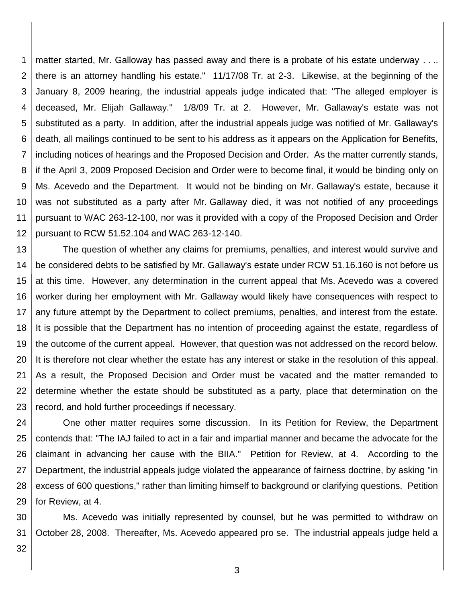1 2 3 4 5 6 7 8 9 10 11 12 matter started, Mr. Galloway has passed away and there is a probate of his estate underway . . .. there is an attorney handling his estate." 11/17/08 Tr. at 2-3. Likewise, at the beginning of the January 8, 2009 hearing, the industrial appeals judge indicated that: "The alleged employer is deceased, Mr. Elijah Gallaway." 1/8/09 Tr. at 2. However, Mr. Gallaway's estate was not substituted as a party. In addition, after the industrial appeals judge was notified of Mr. Gallaway's death, all mailings continued to be sent to his address as it appears on the Application for Benefits, including notices of hearings and the Proposed Decision and Order. As the matter currently stands, if the April 3, 2009 Proposed Decision and Order were to become final, it would be binding only on Ms. Acevedo and the Department. It would not be binding on Mr. Gallaway's estate, because it was not substituted as a party after Mr. Gallaway died, it was not notified of any proceedings pursuant to WAC 263-12-100, nor was it provided with a copy of the Proposed Decision and Order pursuant to RCW 51.52.104 and WAC 263-12-140.

13 14 15 16 17 18 19 20 21 22 23 The question of whether any claims for premiums, penalties, and interest would survive and be considered debts to be satisfied by Mr. Gallaway's estate under RCW 51.16.160 is not before us at this time. However, any determination in the current appeal that Ms. Acevedo was a covered worker during her employment with Mr. Gallaway would likely have consequences with respect to any future attempt by the Department to collect premiums, penalties, and interest from the estate. It is possible that the Department has no intention of proceeding against the estate, regardless of the outcome of the current appeal. However, that question was not addressed on the record below. It is therefore not clear whether the estate has any interest or stake in the resolution of this appeal. As a result, the Proposed Decision and Order must be vacated and the matter remanded to determine whether the estate should be substituted as a party, place that determination on the record, and hold further proceedings if necessary.

24 25 26 27 28 29 One other matter requires some discussion. In its Petition for Review, the Department contends that: "The IAJ failed to act in a fair and impartial manner and became the advocate for the claimant in advancing her cause with the BIIA." Petition for Review, at 4. According to the Department, the industrial appeals judge violated the appearance of fairness doctrine, by asking "in excess of 600 questions," rather than limiting himself to background or clarifying questions. Petition for Review, at 4.

30 31 Ms. Acevedo was initially represented by counsel, but he was permitted to withdraw on October 28, 2008. Thereafter, Ms. Acevedo appeared pro se. The industrial appeals judge held a

32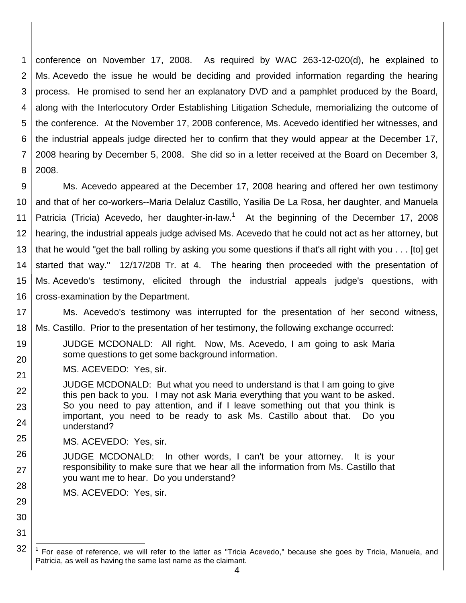1 2 3 4 5 6 7 8 conference on November 17, 2008. As required by WAC 263-12-020(d), he explained to Ms. Acevedo the issue he would be deciding and provided information regarding the hearing process. He promised to send her an explanatory DVD and a pamphlet produced by the Board, along with the Interlocutory Order Establishing Litigation Schedule, memorializing the outcome of the conference. At the November 17, 2008 conference, Ms. Acevedo identified her witnesses, and the industrial appeals judge directed her to confirm that they would appear at the December 17, 2008 hearing by December 5, 2008. She did so in a letter received at the Board on December 3, 2008.

9 10 11 12 13 14 15 16 Ms. Acevedo appeared at the December 17, 2008 hearing and offered her own testimony and that of her co-workers--Maria Delaluz Castillo, Yasilia De La Rosa, her daughter, and Manuela Patricia (Tricia) Acevedo, her daughter-in-law.<sup>1</sup> At the beginning of the December 17, 2008 hearing, the industrial appeals judge advised Ms. Acevedo that he could not act as her attorney, but that he would "get the ball rolling by asking you some questions if that's all right with you . . . [to] get started that way." 12/17/208 Tr. at 4. The hearing then proceeded with the presentation of Ms. Acevedo's testimony, elicited through the industrial appeals judge's questions, with cross-examination by the Department.

17 18 Ms. Acevedo's testimony was interrupted for the presentation of her second witness, Ms. Castillo. Prior to the presentation of her testimony, the following exchange occurred:

- 19 20 JUDGE MCDONALD: All right. Now, Ms. Acevedo, I am going to ask Maria some questions to get some background information.
- 21 MS. ACEVEDO: Yes, sir.
- 22 23 24 JUDGE MCDONALD: But what you need to understand is that I am going to give this pen back to you. I may not ask Maria everything that you want to be asked. So you need to pay attention, and if I leave something out that you think is important, you need to be ready to ask Ms. Castillo about that. Do you understand?
- 25 MS. ACEVEDO: Yes, sir.

29

30

31

l

- 26 27 28 JUDGE MCDONALD: In other words, I can't be your attorney. It is your responsibility to make sure that we hear all the information from Ms. Castillo that you want me to hear. Do you understand?
	- MS. ACEVEDO: Yes, sir.

<sup>32</sup> <sup>1</sup> For ease of reference, we will refer to the latter as "Tricia Acevedo," because she goes by Tricia, Manuela, and Patricia, as well as having the same last name as the claimant.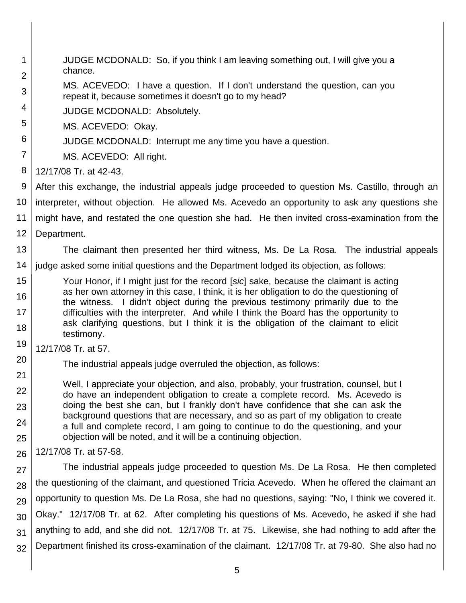1 2 3 4 5 6 7 8 9 10 11 12 13 14 15 16 17 18 19 20 21 22 23 24 25 26 27 28 29 30 31 32 JUDGE MCDONALD: So, if you think I am leaving something out, I will give you a chance. MS. ACEVEDO: I have a question. If I don't understand the question, can you repeat it, because sometimes it doesn't go to my head? JUDGE MCDONALD: Absolutely. MS. ACEVEDO: Okay. JUDGE MCDONALD: Interrupt me any time you have a question. MS. ACEVEDO: All right. 12/17/08 Tr. at 42-43. After this exchange, the industrial appeals judge proceeded to question Ms. Castillo, through an interpreter, without objection. He allowed Ms. Acevedo an opportunity to ask any questions she might have, and restated the one question she had. He then invited cross-examination from the Department. The claimant then presented her third witness, Ms. De La Rosa. The industrial appeals judge asked some initial questions and the Department lodged its objection, as follows: Your Honor, if I might just for the record [*sic*] sake, because the claimant is acting as her own attorney in this case, I think, it is her obligation to do the questioning of the witness. I didn't object during the previous testimony primarily due to the difficulties with the interpreter. And while I think the Board has the opportunity to ask clarifying questions, but I think it is the obligation of the claimant to elicit testimony. 12/17/08 Tr. at 57. The industrial appeals judge overruled the objection, as follows: Well, I appreciate your objection, and also, probably, your frustration, counsel, but I do have an independent obligation to create a complete record. Ms. Acevedo is doing the best she can, but I frankly don't have confidence that she can ask the background questions that are necessary, and so as part of my obligation to create a full and complete record, I am going to continue to do the questioning, and your objection will be noted, and it will be a continuing objection. 12/17/08 Tr. at 57-58. The industrial appeals judge proceeded to question Ms. De La Rosa. He then completed the questioning of the claimant, and questioned Tricia Acevedo. When he offered the claimant an opportunity to question Ms. De La Rosa, she had no questions, saying: "No, I think we covered it. Okay." 12/17/08 Tr. at 62. After completing his questions of Ms. Acevedo, he asked if she had anything to add, and she did not. 12/17/08 Tr. at 75. Likewise, she had nothing to add after the Department finished its cross-examination of the claimant. 12/17/08 Tr. at 79-80. She also had no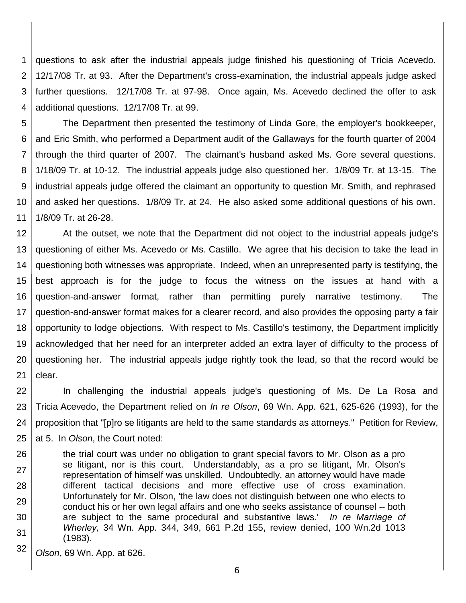1 2 3 4 questions to ask after the industrial appeals judge finished his questioning of Tricia Acevedo. 12/17/08 Tr. at 93. After the Department's cross-examination, the industrial appeals judge asked further questions. 12/17/08 Tr. at 97-98. Once again, Ms. Acevedo declined the offer to ask additional questions. 12/17/08 Tr. at 99.

5 6 7 8 9 10 11 The Department then presented the testimony of Linda Gore, the employer's bookkeeper, and Eric Smith, who performed a Department audit of the Gallaways for the fourth quarter of 2004 through the third quarter of 2007. The claimant's husband asked Ms. Gore several questions. 1/18/09 Tr. at 10-12. The industrial appeals judge also questioned her. 1/8/09 Tr. at 13-15. The industrial appeals judge offered the claimant an opportunity to question Mr. Smith, and rephrased and asked her questions. 1/8/09 Tr. at 24. He also asked some additional questions of his own. 1/8/09 Tr. at 26-28.

12 13 14 15 16 17 18 19 20 21 At the outset, we note that the Department did not object to the industrial appeals judge's questioning of either Ms. Acevedo or Ms. Castillo. We agree that his decision to take the lead in questioning both witnesses was appropriate. Indeed, when an unrepresented party is testifying, the best approach is for the judge to focus the witness on the issues at hand with a question-and-answer format, rather than permitting purely narrative testimony. The question-and-answer format makes for a clearer record, and also provides the opposing party a fair opportunity to lodge objections. With respect to Ms. Castillo's testimony, the Department implicitly acknowledged that her need for an interpreter added an extra layer of difficulty to the process of questioning her. The industrial appeals judge rightly took the lead, so that the record would be clear.

22 23 24 25 In challenging the industrial appeals judge's questioning of Ms. De La Rosa and Tricia Acevedo, the Department relied on *In re Olson*, 69 Wn. App. 621, 625-626 (1993), for the proposition that "[p]ro se litigants are held to the same standards as attorneys." Petition for Review, at 5. In *Olson*, the Court noted:

26 27 28 29 30 31 the trial court was under no obligation to grant special favors to Mr. Olson as a pro se litigant, nor is this court. Understandably, as a pro se litigant, Mr. Olson's representation of himself was unskilled. Undoubtedly, an attorney would have made different tactical decisions and more effective use of cross examination. Unfortunately for Mr. Olson, 'the law does not distinguish between one who elects to conduct his or her own legal affairs and one who seeks assistance of counsel -- both are subject to the same procedural and substantive laws.' *In re Marriage of Wherley,* 34 Wn. App. 344, 349, 661 P.2d 155, review denied, 100 Wn.2d 1013 (1983).

32 *Olson*, 69 Wn. App. at 626.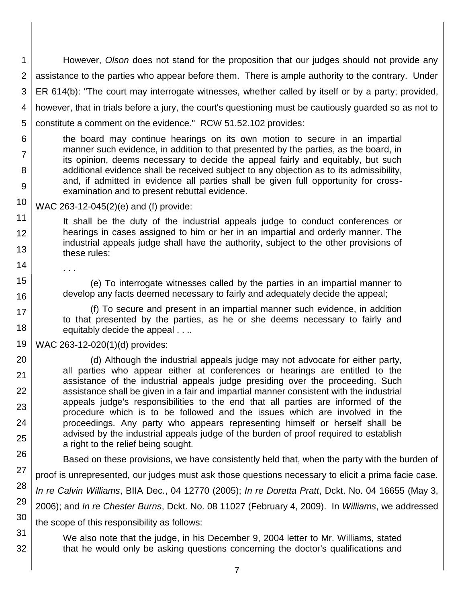1 2 3 4 5 However, *Olson* does not stand for the proposition that our judges should not provide any assistance to the parties who appear before them. There is ample authority to the contrary. Under ER 614(b): "The court may interrogate witnesses, whether called by itself or by a party; provided, however, that in trials before a jury, the court's questioning must be cautiously guarded so as not to constitute a comment on the evidence." RCW 51.52.102 provides:

6 7 8 9 the board may continue hearings on its own motion to secure in an impartial manner such evidence, in addition to that presented by the parties, as the board, in its opinion, deems necessary to decide the appeal fairly and equitably, but such additional evidence shall be received subject to any objection as to its admissibility, and, if admitted in evidence all parties shall be given full opportunity for crossexamination and to present rebuttal evidence.

10 WAC 263-12-045(2)(e) and (f) provide:

11 12 13 It shall be the duty of the industrial appeals judge to conduct conferences or hearings in cases assigned to him or her in an impartial and orderly manner. The industrial appeals judge shall have the authority, subject to the other provisions of these rules:

. . .

14

15

16

17 18

(e) To interrogate witnesses called by the parties in an impartial manner to develop any facts deemed necessary to fairly and adequately decide the appeal;

(f) To secure and present in an impartial manner such evidence, in addition to that presented by the parties, as he or she deems necessary to fairly and equitably decide the appeal . . ..

19 WAC 263-12-020(1)(d) provides:

20 21 22 23 24 25 (d) Although the industrial appeals judge may not advocate for either party, all parties who appear either at conferences or hearings are entitled to the assistance of the industrial appeals judge presiding over the proceeding. Such assistance shall be given in a fair and impartial manner consistent with the industrial appeals judge's responsibilities to the end that all parties are informed of the procedure which is to be followed and the issues which are involved in the proceedings. Any party who appears representing himself or herself shall be advised by the industrial appeals judge of the burden of proof required to establish a right to the relief being sought.

26 27 28 29 30 31 Based on these provisions, we have consistently held that, when the party with the burden of proof is unrepresented, our judges must ask those questions necessary to elicit a prima facie case. *In re Calvin Williams*, BIIA Dec., 04 12770 (2005); *In re Doretta Pratt*, Dckt. No. 04 16655 (May 3, 2006); and *In re Chester Burns*, Dckt. No. 08 11027 (February 4, 2009). In *Williams*, we addressed the scope of this responsibility as follows:

32 We also note that the judge, in his December 9, 2004 letter to Mr. Williams, stated that he would only be asking questions concerning the doctor's qualifications and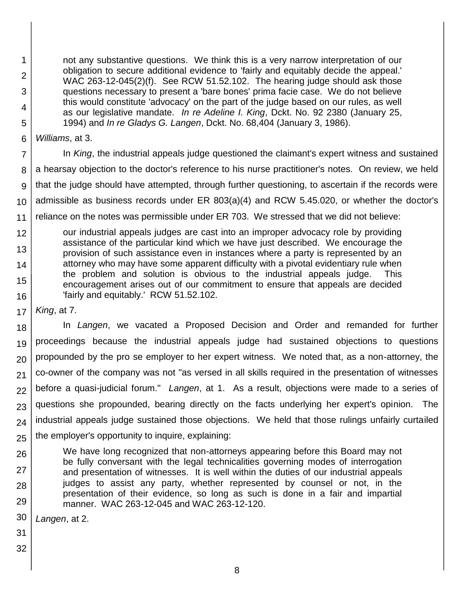not any substantive questions. We think this is a very narrow interpretation of our obligation to secure additional evidence to 'fairly and equitably decide the appeal.' WAC 263-12-045(2)(f). See RCW 51.52.102. The hearing judge should ask those questions necessary to present a 'bare bones' prima facie case. We do not believe this would constitute 'advocacy' on the part of the judge based on our rules, as well as our legislative mandate. *In re Adeline I. King*, Dckt. No. 92 2380 (January 25, 1994) and *In re Gladys G. Langen*, Dckt. No. 68,404 (January 3, 1986).

6 *Williams*, at 3.

1

2

3

4 5

7 8 9 10 11 12 In *King*, the industrial appeals judge questioned the claimant's expert witness and sustained a hearsay objection to the doctor's reference to his nurse practitioner's notes. On review, we held that the judge should have attempted, through further questioning, to ascertain if the records were admissible as business records under ER 803(a)(4) and RCW 5.45.020, or whether the doctor's reliance on the notes was permissible under ER 703. We stressed that we did not believe: our industrial appeals judges are cast into an improper advocacy role by providing assistance of the particular kind which we have just described. We encourage the

- 13 14 15 16 provision of such assistance even in instances where a party is represented by an attorney who may have some apparent difficulty with a pivotal evidentiary rule when the problem and solution is obvious to the industrial appeals judge. This encouragement arises out of our commitment to ensure that appeals are decided 'fairly and equitably.' RCW 51.52.102.
- 17 *King*, at 7.

18 19 20 21 22 23 24 25 In *Langen*, we vacated a Proposed Decision and Order and remanded for further proceedings because the industrial appeals judge had sustained objections to questions propounded by the pro se employer to her expert witness. We noted that, as a non-attorney, the co-owner of the company was not "as versed in all skills required in the presentation of witnesses before a quasi-judicial forum." *Langen*, at 1. As a result, objections were made to a series of questions she propounded, bearing directly on the facts underlying her expert's opinion. The industrial appeals judge sustained those objections. We held that those rulings unfairly curtailed the employer's opportunity to inquire, explaining:

26 27 28 29 We have long recognized that non-attorneys appearing before this Board may not be fully conversant with the legal technicalities governing modes of interrogation and presentation of witnesses. It is well within the duties of our industrial appeals judges to assist any party, whether represented by counsel or not, in the presentation of their evidence, so long as such is done in a fair and impartial manner. WAC 263-12-045 and WAC 263-12-120.

30 *Langen*, at 2.

- 31
- 32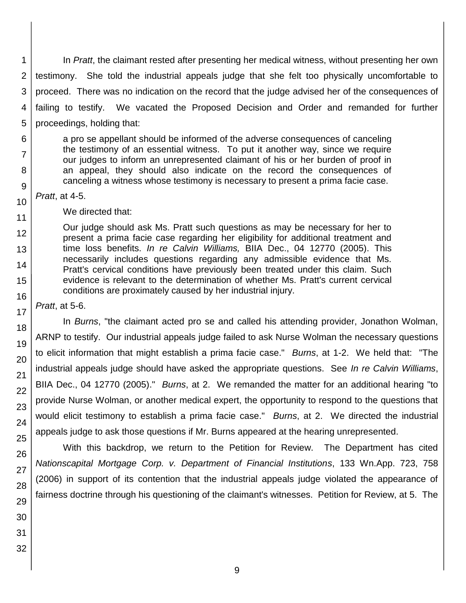1 2 3 4 5 In *Pratt*, the claimant rested after presenting her medical witness, without presenting her own testimony. She told the industrial appeals judge that she felt too physically uncomfortable to proceed. There was no indication on the record that the judge advised her of the consequences of failing to testify. We vacated the Proposed Decision and Order and remanded for further proceedings, holding that:

a pro se appellant should be informed of the adverse consequences of canceling the testimony of an essential witness. To put it another way, since we require our judges to inform an unrepresented claimant of his or her burden of proof in an appeal, they should also indicate on the record the consequences of canceling a witness whose testimony is necessary to present a prima facie case.

*Pratt*, at 4-5.

6

7

8

We directed that:

Our judge should ask Ms. Pratt such questions as may be necessary for her to present a prima facie case regarding her eligibility for additional treatment and time loss benefits. *In re Calvin Williams,* BIIA Dec., 04 12770 (2005). This necessarily includes questions regarding any admissible evidence that Ms. Pratt's cervical conditions have previously been treated under this claim. Such evidence is relevant to the determination of whether Ms. Pratt's current cervical conditions are proximately caused by her industrial injury.

*Pratt*, at 5-6.

In *Burns*, "the claimant acted pro se and called his attending provider, Jonathon Wolman, ARNP to testify. Our industrial appeals judge failed to ask Nurse Wolman the necessary questions to elicit information that might establish a prima facie case." *Burns*, at 1-2. We held that: "The industrial appeals judge should have asked the appropriate questions. See *In re Calvin Williams*, BIIA Dec., 04 12770 (2005)." *Burns*, at 2. We remanded the matter for an additional hearing "to provide Nurse Wolman, or another medical expert, the opportunity to respond to the questions that would elicit testimony to establish a prima facie case." *Burns*, at 2. We directed the industrial appeals judge to ask those questions if Mr. Burns appeared at the hearing unrepresented.

With this backdrop, we return to the Petition for Review. The Department has cited *Nationscapital Mortgage Corp. v. Department of Financial Institutions*, 133 Wn.App. 723, 758 (2006) in support of its contention that the industrial appeals judge violated the appearance of fairness doctrine through his questioning of the claimant's witnesses. Petition for Review, at 5. The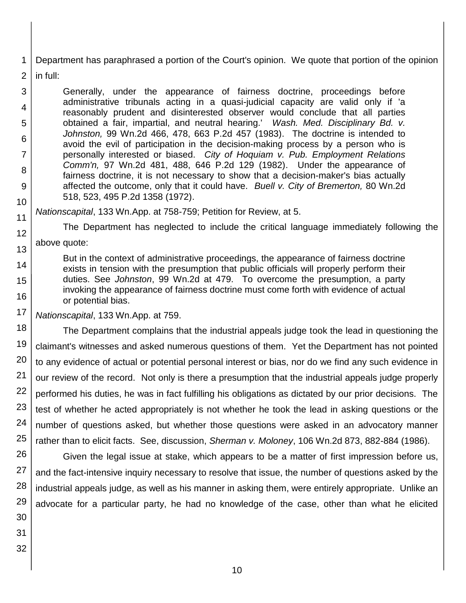1 Department has paraphrased a portion of the Court's opinion. We quote that portion of the opinion

2 in full:

12

13

3 4 5 6 7 8 9 10 Generally, under the appearance of fairness doctrine, proceedings before administrative tribunals acting in a quasi-judicial capacity are valid only if 'a reasonably prudent and disinterested observer would conclude that all parties obtained a fair, impartial, and neutral hearing.' *Wash. Med. Disciplinary Bd. v. Johnston,* 99 Wn.2d 466, 478, 663 P.2d 457 (1983). The doctrine is intended to avoid the evil of participation in the decision-making process by a person who is personally interested or biased. *City of Hoquiam v. Pub. Employment Relations Comm'n,* 97 Wn.2d 481, 488, 646 P.2d 129 (1982). Under the appearance of fairness doctrine, it is not necessary to show that a decision-maker's bias actually affected the outcome, only that it could have. *Buell v. City of Bremerton,* 80 Wn.2d 518, 523, 495 P.2d 1358 (1972).

#### 11 *Nationscapital*, 133 Wn.App. at 758-759; Petition for Review, at 5.

The Department has neglected to include the critical language immediately following the above quote:

14 15 16 But in the context of administrative proceedings, the appearance of fairness doctrine exists in tension with the presumption that public officials will properly perform their duties. See *Johnston*, 99 Wn.2d at 479. To overcome the presumption, a party invoking the appearance of fairness doctrine must come forth with evidence of actual or potential bias.

17 *Nationscapital*, 133 Wn.App. at 759.

18 19 20 21 22 23 24 25 The Department complains that the industrial appeals judge took the lead in questioning the claimant's witnesses and asked numerous questions of them. Yet the Department has not pointed to any evidence of actual or potential personal interest or bias, nor do we find any such evidence in our review of the record. Not only is there a presumption that the industrial appeals judge properly performed his duties, he was in fact fulfilling his obligations as dictated by our prior decisions. The test of whether he acted appropriately is not whether he took the lead in asking questions or the number of questions asked, but whether those questions were asked in an advocatory manner rather than to elicit facts. See, discussion, *Sherman v. Moloney*, 106 Wn.2d 873, 882-884 (1986).

26 27 28 29 Given the legal issue at stake, which appears to be a matter of first impression before us, and the fact-intensive inquiry necessary to resolve that issue, the number of questions asked by the industrial appeals judge, as well as his manner in asking them, were entirely appropriate. Unlike an advocate for a particular party, he had no knowledge of the case, other than what he elicited

30 31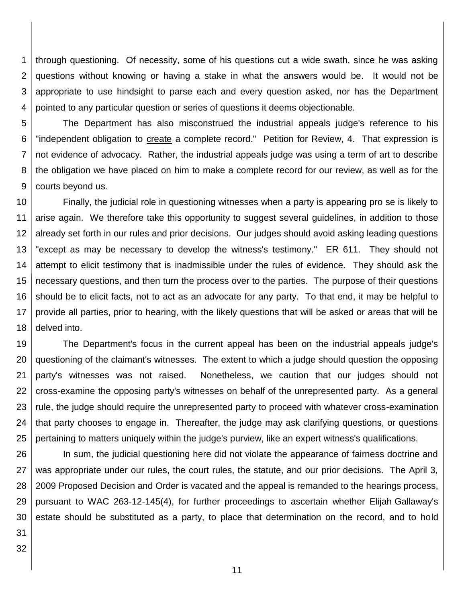1 2 3 4 through questioning. Of necessity, some of his questions cut a wide swath, since he was asking questions without knowing or having a stake in what the answers would be. It would not be appropriate to use hindsight to parse each and every question asked, nor has the Department pointed to any particular question or series of questions it deems objectionable.

5 6 7 8 9 The Department has also misconstrued the industrial appeals judge's reference to his "independent obligation to create a complete record." Petition for Review, 4. That expression is not evidence of advocacy. Rather, the industrial appeals judge was using a term of art to describe the obligation we have placed on him to make a complete record for our review, as well as for the courts beyond us.

10 11 12 13 14 15 16 17 18 Finally, the judicial role in questioning witnesses when a party is appearing pro se is likely to arise again. We therefore take this opportunity to suggest several guidelines, in addition to those already set forth in our rules and prior decisions. Our judges should avoid asking leading questions "except as may be necessary to develop the witness's testimony." ER 611. They should not attempt to elicit testimony that is inadmissible under the rules of evidence. They should ask the necessary questions, and then turn the process over to the parties. The purpose of their questions should be to elicit facts, not to act as an advocate for any party. To that end, it may be helpful to provide all parties, prior to hearing, with the likely questions that will be asked or areas that will be delved into.

19 20 21 22 23 24 25 The Department's focus in the current appeal has been on the industrial appeals judge's questioning of the claimant's witnesses. The extent to which a judge should question the opposing party's witnesses was not raised. Nonetheless, we caution that our judges should not cross-examine the opposing party's witnesses on behalf of the unrepresented party. As a general rule, the judge should require the unrepresented party to proceed with whatever cross-examination that party chooses to engage in. Thereafter, the judge may ask clarifying questions, or questions pertaining to matters uniquely within the judge's purview, like an expert witness's qualifications.

26 27 28 29 30 In sum, the judicial questioning here did not violate the appearance of fairness doctrine and was appropriate under our rules, the court rules, the statute, and our prior decisions. The April 3, 2009 Proposed Decision and Order is vacated and the appeal is remanded to the hearings process, pursuant to WAC 263-12-145(4), for further proceedings to ascertain whether Elijah Gallaway's estate should be substituted as a party, to place that determination on the record, and to hold